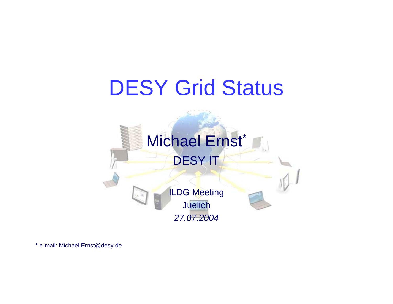# DESY Grid Status



\* e-m ail: Mic hael.Ernst@des y.de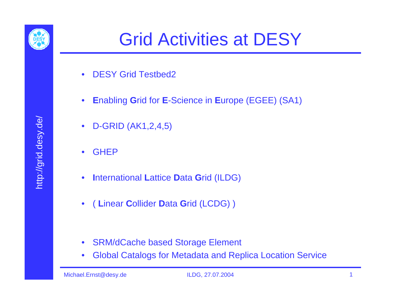

- •DESY Grid Testbed2
- $\bullet$ **E**nabling **G**rid for **E**-Science in **E**urope (EGEE) (SA1)
- $\bullet$ D-GRID (AK1,2,4,5)
- •**GHEP**
- •**I**nternational **L**attice **D**ata **G**rid (ILDG)
- $\bullet$ ( **L**inear **C**ollider **D**ata **G**rid (LCDG) )

- SRM/dCache based Storage Element
- $\bullet$ Global Catalogs for Metadata and Replica Location Service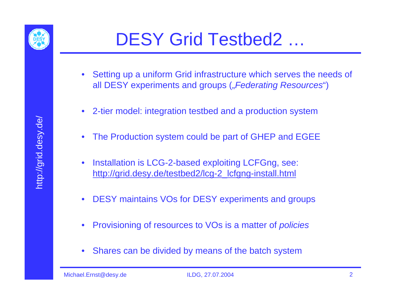

# DESY Grid Testbed2 …

- Setting up a uniform Grid infrastructure which serves the needs of all DESY experiments and groups (*"Federating Resources*")
- $\bullet$ 2-tier model: integration testbed and a production system
- •The Production system could be part of GHEP and EGEE
- • Installation is LCG-2-based exploiting LCFGng, see: http://grid.desy.de/testbed2/lcg-2\_lcfgng-install.html
- $\bullet$ DESY maintains VOs for DESY experiments and groups
- •Provisioning of resources to VOs is a matter of *policies*
- $\bullet$ Shares can be divided by means of the batch system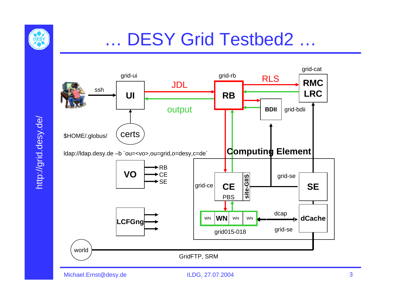

#### …DESY Grid Testbed2 …



Michael.Ernst@desy.de ILDG, 27.07.2004 3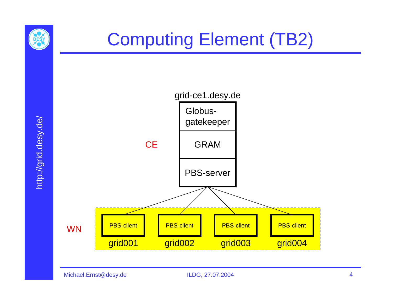

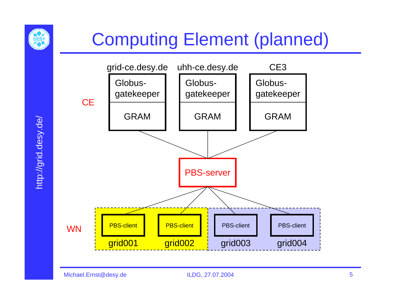

# Computing Element (planned)

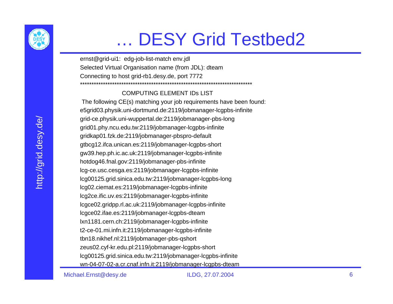

#### …DESY Grid Testbed2

ernst@grid-ui1: edg-job-list-match env.jdl Selected Virtual Organisation name (from JDL): dteam Connecting to host grid-rb1.desy.de, port 7772 \*\*\*\*\*\*\*\*\*\*\*\*\*\*\*\*\*\*\*\*\*\*\*\*\*\*\*\*\*\*\*\*\*\*\*\*\*\*\*\*\*\*\*\*\*\*\*\*\*\*\*\*\*\*\*\*\*\*\*\*\*\*\*\*\*\*\*\*\*\*\*\*\*\*\*

#### COMPUTING ELEMENT IDs LIST

The following CE(s) matching your job requirements have been found: e5grid03.physik.uni-dortmund.de:2119/jobmanager-lcgpbs-infinite grid-ce.physik.uni-wuppertal.de:2119/jobmanager-pbs-long grid01.phy.ncu.edu.tw:2119/jobmanager-lcgpbs-infinite gridkap01.fzk.de:2119/jobmanager-pbspro-default gtbcg12.ifca.unican.es:2119/jobmanager-lcgpbs-short gw39.hep.ph.ic.ac.uk:2119/jobmanager-lcgpbs-infinite hotdog46.fnal.gov:2119/jobmanager-pbs-infinite lcg-ce.usc.cesga.es:2119/jobmanager-lcgpbs-infinite lcg00125.grid.sinica.edu.tw:2119/jobmanager-lcgpbs-long lcg02.ciemat.es:2119/jobmanager-lcgpbs-infinite lcg2ce.ific.uv.es:2119/jobmanager-lcgpbs-infinite lcgce02.gridpp.rl.ac.uk:2119/jobmanager-lcgpbs-infinite lcgce02.ifae.es:2119/jobmanager-lcgpbs-dteam lxn1181.cern.ch:2119/jobmanager-lcgpbs-infinite t2-ce-01.mi.infn.it:2119/jobmanager-lcgpbs-infinite tbn18.nikhef.nl:2119/jobmanager-pbs-qshort zeus02.cyf-kr.edu.pl:2119/jobmanager-lcgpbs-short lcg00125.grid.sinica.edu.tw:2119/jobmanager-lcgpbs-infinite wn-04-07-02-a.cr.cnaf.infn.it:2119/jobmanager-lcgpbs-dteam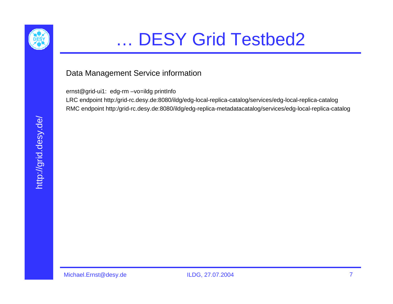

#### …DESY Grid Testbed2

#### Data Management Service information

ernst@grid-ui1: edg-rm –vo=ildg printInfo

LRC endpoint http:/grid-rc.desy.de:8080/ildg/edg-local-replica-catalog/services/edg-local-replica-catalog RMC endpoint http:/grid-rc.desy.de:8080/ildg/edg-replica-metadatacatalog/services/edg-local-replica-catalog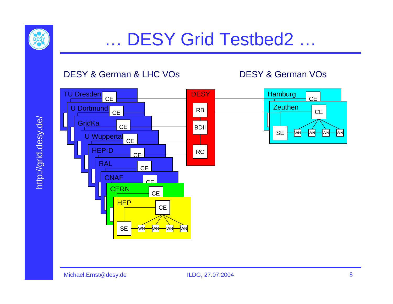

#### DESY & German & LHC VOs

#### DESY & German VOs

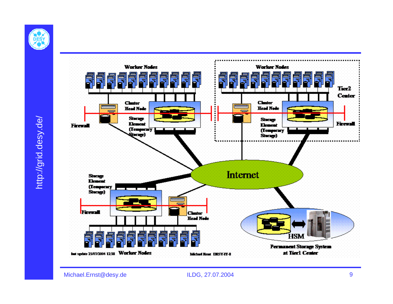

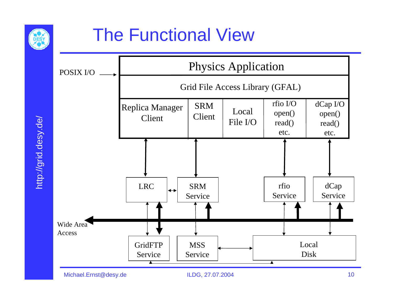

# The Functional View

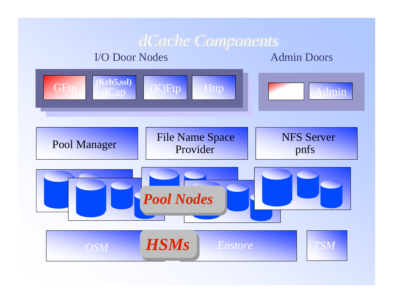#### *dCache dCacheComponents Components*

#### I/O Door Nodes

#### Admin Doors

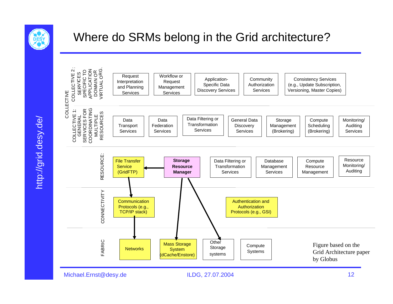

http://grid.desy.de/

http://grid.desy.de/

#### Where do SRMs belong in the Grid architecture?



#### Michael.Ernst@desy.de ILDG, 27.07.2004 12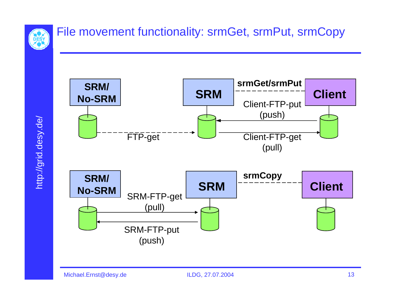

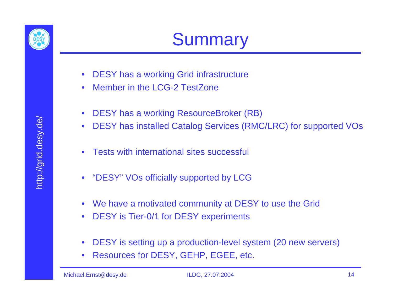

- DESY has a working Grid infrastructure
- $\bullet$ Member in the LCG-2 TestZone
- $\bullet$ DESY has a working ResourceBroker (RB)
- $\bullet$ DESY has installed Catalog Services (RMC/LRC) for supported VOs
- •Tests with international sites successful
- "DESY" VOs officially supported by LCG
- $\bullet$ We have a motivated community at DESY to use the Grid
- $\bullet$ DESY is Tier-0/1 for DESY experiments
- $\bullet$ DESY is setting up a production-level system (20 new servers)
- $\bullet$ Resources for DESY, GEHP, EGEE, etc.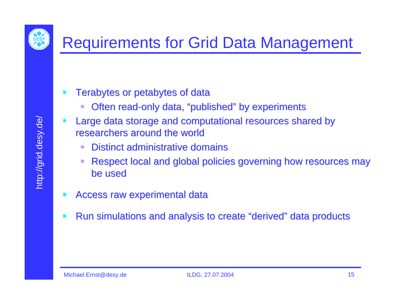

- Terabytes or petabytes of data
	- Often read-only data, "published" by experiments
- Large data storage and computational resources shared by researchers around the world
	- $\blacksquare$  Distinct administrative domains
	- Respect local and global policies governing how resources may be used
- Access raw experimental data
- Run simulations and analysis to create "derived" data products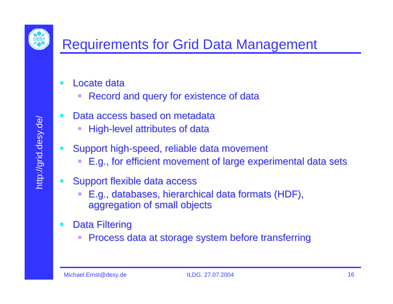

### Requirements for Grid Data Management

- Locate data
	- Record and query for existence of data
- Data access based on metadata
	- $\Box$ High-level attributes of data
- Support high-speed, reliable data movement
	- E.g., for efficient movement of large experimental data sets
- Support flexible data access
	- $\overline{\phantom{a}}$ E.g., databases, hierarchical data formats (HDF), aggregation of small objects aggregation of small objects
- **Data Filtering** 
	- O Process data at storage system before transferring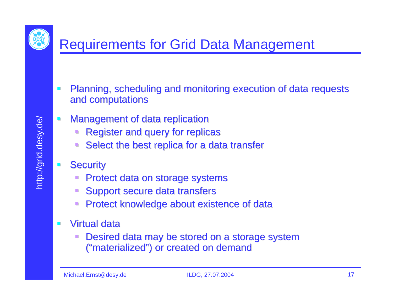

#### Requirements for Grid Data Management

- $\mathcal{L}_{\mathcal{A}}$ Planning, scheduling and monitoring execution of data requests and computations and computations
- $\mathcal{L}_{\mathcal{A}}$ Management of data replication
	- Register and query for replicas
	- Select the best replica for a data transfer
	- **Security** 
		- Protect data on storage systems
		- Support secure data transfers
		- $\overline{\mathcal{L}}$ Protect knowledge about existence of data
- $\mathbf{r}$ **u** Virtual data
	- Desired data may be stored on a storage system ("materialized") or created on demand

 $\mathcal{L}_{\mathcal{A}}$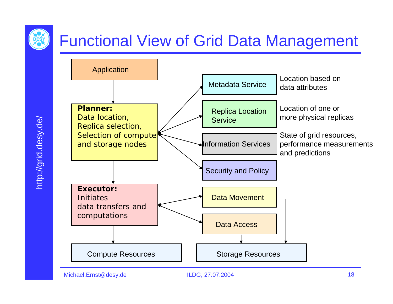# Functional View of Grid Data Management

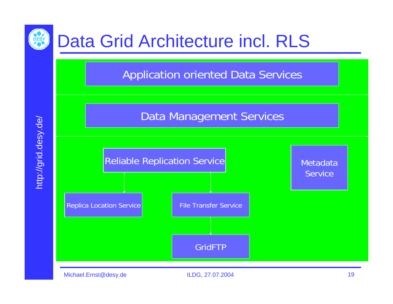

# Data Grid Architecture incl. RLS

Application oriented Data Services

Data Management Services

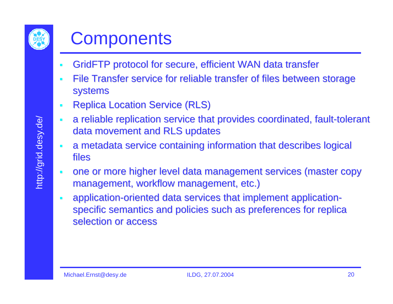

# **Components**

- **GridFTP protocol for secure, efficient WAN data transfer**
- File Transfer service for reliable transfer of files between storage systems
- $\mathcal{L}_{\mathcal{A}}$ **Replica Location Service (RLS)**
- $\blacksquare$ a reliable replication service that provides coordinated, fault-tolerant data movement and RLS updates
- $\mathcal{L}_{\mathcal{A}}$ a metadata service containing information that describes logical files
- $\mathcal{L}_{\mathcal{A}}$ one or more higher level data m anagement services (master copy management, workflow management, etc.)
- application-oriented data services that implement applicationspecific semantics and policies such as preferences for replica selection or access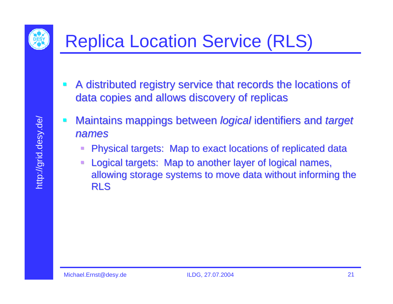

# Replica Location Service (RLS)

- A distributed registry service that records the locations of data copies and allows discovery of replicas
- Maintains mappings between *logical* identifiers and *target names*
	- Physical targets: Map to exact locations of replicated data
	- Logical targets: Map to another layer of logical names, allowing storage systems to move data without informing the RLS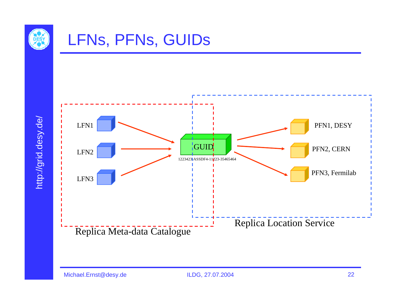

## LFNs, PFNs, GUIDs



http://grid.desy.de/ http://grid.desy.de/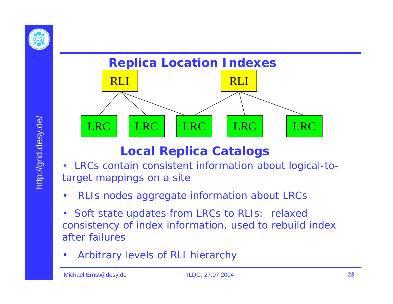



#### **Local Replica Catalogs**

- de Signed LRC LRC LRC LRC LRC<br>
Local Replica Catalog<br>
target mappings on a site • LRCs contain consistent information about logical-totarget mappings on a site
	- •RLIs nodes aggregate information about LRCs
	- • Soft state updates from LRCs to RLIs: relaxed consistency of index information, used to rebuild index after failures
	- •Arbitrary levels of RLI hierarchy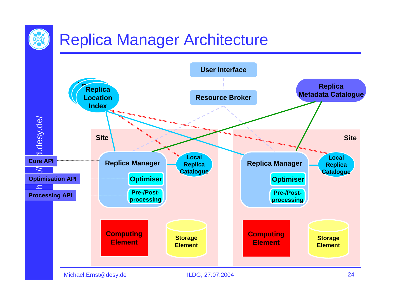# Replica Manager Architecture



Michael.Ernst@desy.de ILDG, 27.07.2004 24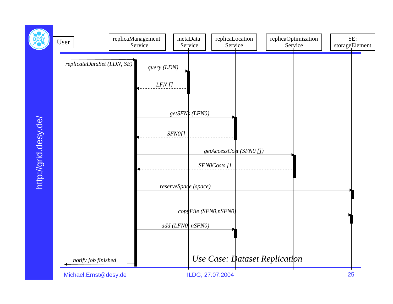

http://grid.desy.de/ http://grid.desy.de/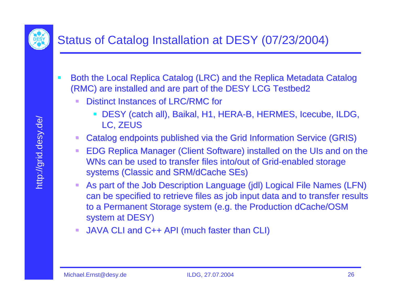

#### Status of Catalog Installation at DESY (07/23/2004)

- $\mathcal{L}_{\mathcal{A}}$ Both the Local Replica Catalog (LRC) and the Replica Metadata Catalog (RMC) are installed and are part of the DESY LCG Testbed2
	- Distinct Instances of LRC/RMC for
		- $\blacksquare$ DESY (catch all), Baikal, H1, HERA-B, HERMES, Icecube, ILDG, LC, ZEUS
	- Catalog endpoints published via the Grid Information Service (GRIS)
	- $\mathcal{L}_{\mathcal{A}}$ EDG Replica Manager (Client Software) installed on the UIs and on the WNs can be used to transfer files into/out of Grid-enabled storage systems (Classic and SRM/dCache SEs)
	- $\mathcal{L}_{\mathcal{A}}$ As part of the Job Description Language (jdl) Logical File Names (LFN) can be specified to retrieve files as job input data and to transfer results to a Permanent Storage system (e.g. the Production dCache/OSM system at DESY)
	- JAVA CLI and C++ API (much faster than CLI) JAVA CLI and C++ API (much faster than CLI)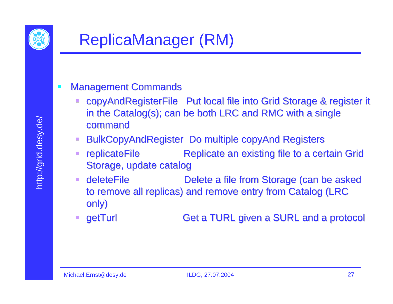

#### $\blacksquare$ **Management Commands**

- copyAndRegisterFile Put local file into Grid Storage & register it in the Catalog(s); can be both LRC and RMC with a single command
- BulkCopyAndRegister Do multiple copyAnd Registers
- $\blacksquare$ replicateFile **Replicate an existing file to a certain Grid** Storage, update catalog
- $\Box$ ■ deleteFile Delete a file from Storage (can be asked to remove all replicas) and remove entry from Catalog (LRC only)
- $\Box$ getTurl Get a TURL given a SURL and a protocol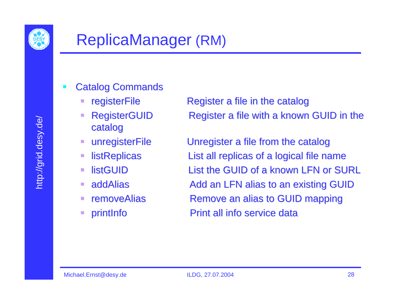

- **Catalog Commands** 
	-
	- catalog
	-
	-
	- $\mathcal{L}$ **I**listGUID
	- $\blacksquare$ ■ addAlias
	- $\mathcal{C}^{\mathcal{A}}$ ■ removeAlias
	- $\Box$

registerFile Register a file in the catalog RegisterGUID Register a file with a known GUID in the

unregisterFile Unregister a file from the catalog listReplicas List all replicas of a logical file name List the GUID of a known LFN or SURL Add an LFN alias to an existing GUID Remove an alias to GUID mapping printInfo **Printiall** info service data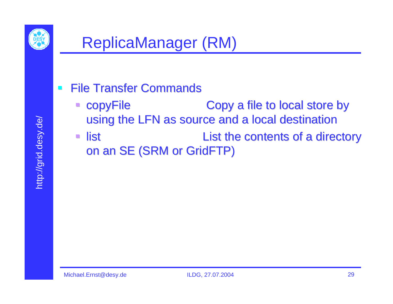

#### **File Transfer Commands**

- copyFile Copy a file to local store by using the LFN as source and a local destination
- $\overline{\mathbb{R}^2}$ list list list List the contents of a directory on an SE (SRM or GridFTP)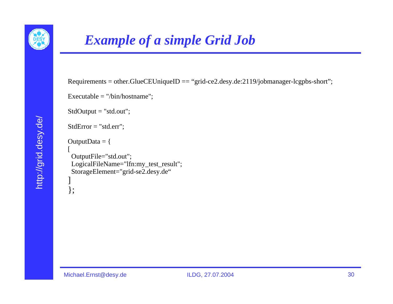

#### *Example of a simple Grid Job*

 $Requirements = other.GlueCEUniqueID == "grid-ce2.deg.de:2119/jobmanager-legpbs-short";$ 

Executable = "/bin/hostname";

StdOutput <sup>=</sup>"std.out";

```
StdError ="std.err";
```
OutputData  $=$  {

```
OutputFile="std.out"; 
LogicalFileName="lfn:my_test_result";
StorageElement="grid-se2.desy.de"
]
```
};

[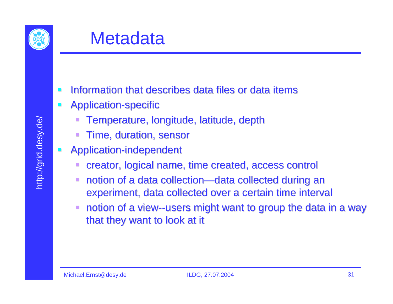

- $\mathbf{r}$ **Information that describes data files or data items**
- $\mathcal{L}$ Application-specific
	- Temperature, longitude, latitude, depth
	- Time, duration, sensor
- $\blacksquare$ Application-independent
	- creator, logical name, time created, access control
	- notion of a data collection—data collected during an experiment, data collected over a certain time interval
	- notion of a view--users might want to group the data in a way that they want to look at it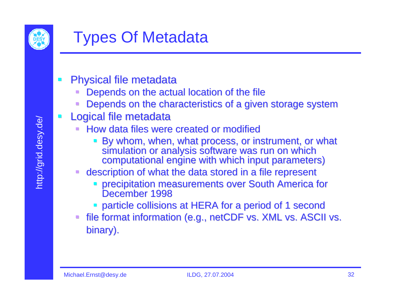

- **Physical file metadata** 
	- Depends on the actual location of the file
	- Depends on the characteristics of a given storage system
- Logical file metadata
	- How data files were created or modified
		- By whom, when, what process, or instrument, or what<br>simulation or analysis software was run on which<br>computational engine with which input parameters)
	- description of what the data stored in a file represent
		- precipitation measurements over South America for December 1998
		- **particle collisions at HERA for a period of 1 second**
	- file format information (e.g., netCDF vs. XML vs. ASCII vs. binary).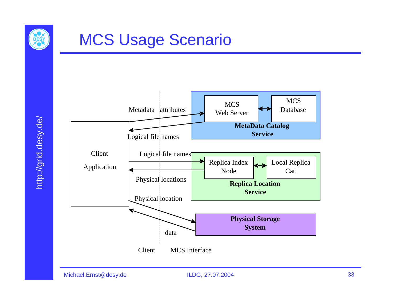

## MCS Usage Scenario

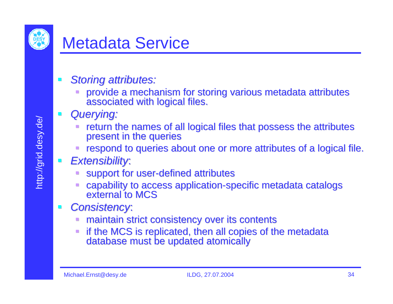

## Metadata Service

- *Storing attributes: Storing attributes:* 
	- provide a mechanism for storing various metadata attributes associated with logical files.
	- *Querying: Querying:*
		- return the names of all logical files that possess the attributes present in the queries
		- respond to queries about one or more attributes of a logical file.
	- *Extensibility Extensibility*:
		- support for user-defined attributes
		- capability to access application-specific metadata catalogs external to MCS
- *Consistency Consistency*:
	- maintain strict consistency over its contents maintain strict consistency over its contents
	- if the MCS is replicated, then all copies of the metadata database must be updated atomically database must be updated atomically

 $\blacksquare$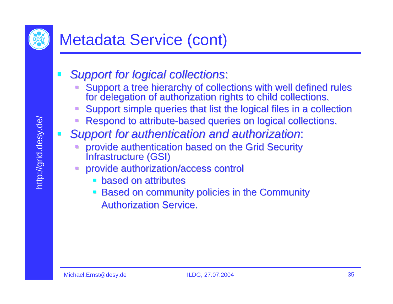

- *Support for logical collections Support for logical collections*:
	- Support a tree hierarchy of collections with well defined rules<br>for delegation of authorization rights to child collections.
	- Support simple queries that list the logical files in a collection
	- Respond to attribute-based queries on logical collections.
	- *Support for Support for authentication and authorization authentication and authorization*:
		- provide authentication based on the Grid Security Infrastructure (GSI)
		- provide authorization/access control provide authorization/access control
			- $\blacksquare$  based on attributes
			- Based on community policies in the Community Based on community policies in the Community **Authorization Service.**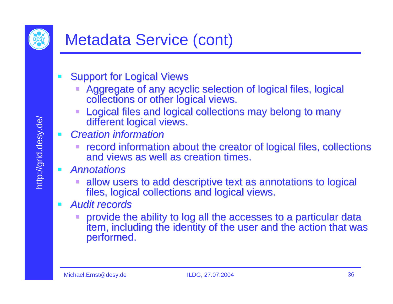

## Metadata Service (cont)

- **Support for Logical Views** 
	- Aggregate of any acyclic selection of logical files, logical collections or other logical views.
	- Logical files and logical collections may belong to many different logical views.
- **College**  *Creation information Creation information*
	- **record information about the creator of logical files, collections<br>and views as well as creation times.**
- $\blacksquare$  *Annotations Annotations*
	- allow users to add descriptive text as annotations to logical files, logical collections and logical views.
- *Audit records Audit records*
	- provide the ability to log all the accesses to a particular data<br>item, including the identity of the user and the action that was<br>performed.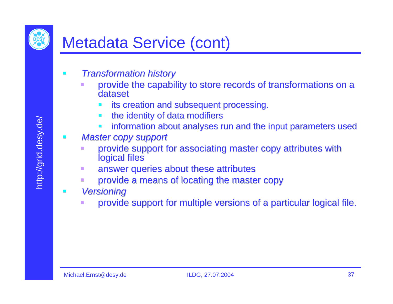## Metadata Service (cont)

- *Transformation history* 
	- provide the capability to store records of transformations on a dataset
		- its creation and subsequent processing.
		- the identity of data modifiers
		- information about analyses run and the input parameters used
- *Master copy support Master copy support*
	- $\mathbb{R}^2$ provide support for associating master copy attributes with logical files
	- $\Box$ answer queries about these attributes
	- provide a means of locating the master copy
- $\mathcal{L}_{\mathcal{A}}$  *Versioning Versioning*
	- $\Box$ provide support for multiple versions of a particular logical file.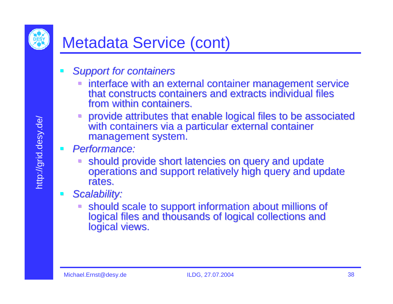

## Metadata Service (cont)

- *Support for containers Support for containers*
	- interface with an external container management service<br>that constructs containers and extracts individual files from within containers.
	- provide attributes that enable logical files to be associated with containers via a particular external container management system.
- *Performance: Performance:*
	- should provide short latencies on query and update<br>operations and support relatively high query and update rates.
- *Scalability: Scalability:*
	- should scale to support information about millions of<br>logical files and thousands of logical collections and<br>logical views.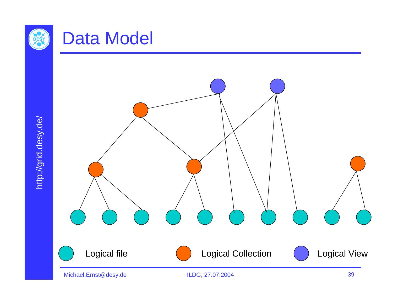

## Data Model

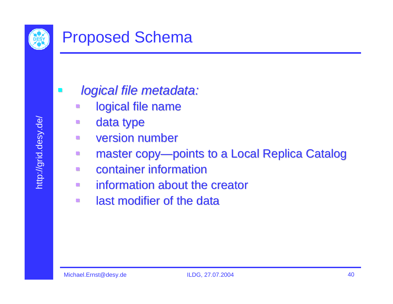

*logical file metadata: logical file metadata:*

- n logical file name
- **CO** data type
- **CO** version number version number
- $\blacksquare$ master copy—points to a Local Replica Catalog
- n **EXECONTAGINER INFORMATION**
- $\Box$ information about the creator
- $\blacksquare$ **EXEC** last modifier of the data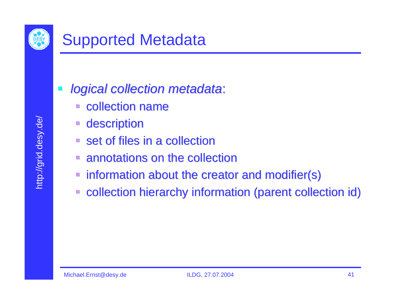

- *logical collection metadata logical collection metadata*:
	- **E** collection name
	- **description**
	- $\blacksquare$  set of files in a collection
	- $\blacksquare$  annotations on the collection
	- information about the creator and modifier(s)
	- $\Box$ collection hierarchy information (parent collection id)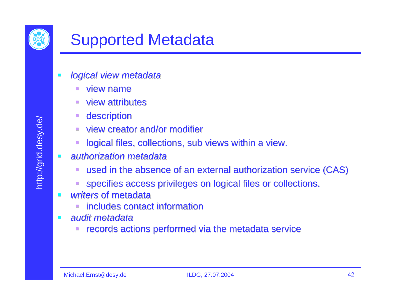

- *logical view metadata logical view metadata* 
	- $\blacksquare$  view name
	- $\blacksquare$  view attributes
	- description
	- view creator and/or modifier
	- logical files, collections, sub views within a view.
- *authorization metadata ization metadata*
	- $\blacksquare$  used in the absence of an external authorization service (CAS)
	- specifies access privileges on logical files or collections.
- $\mathbf{r}$ **u** *writers* of metadata
	- includes contact information
- $\mathcal{L}_{\mathcal{A}}$  *audit metadata audit metadata*
	- records actions performed via the metadata service

 $\mathcal{L}^{\mathcal{A}}$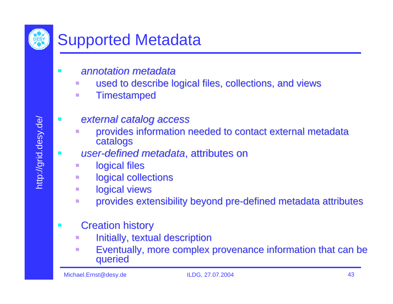

## Supported Metadata

- *annotation metadata annotation metadata* 
	- $\mathcal{L}^{\mathcal{L}}$ used to describe logical files, collections, and views
	- $\Box$ **Timestamped**
	- *external catalog access external catalog access* 
		- provides information needed to contact external metadata catalogs
- **E** *user-defined metadata*, attributes on
	- logical files
	- $\mathcal{L}$ logical collections
	- $\Box$ logical views
	- $\mathcal{L}_{\mathcal{A}}$ provides extensibility beyond pre-defined metadata attributes
- **Creation history** 
	- $\mathbb{R}^2$ Initially, textual description
	- $\Box$ Eventually, more complex provenance information that can be queried

П

 $\mathcal{L}^{\mathcal{A}}$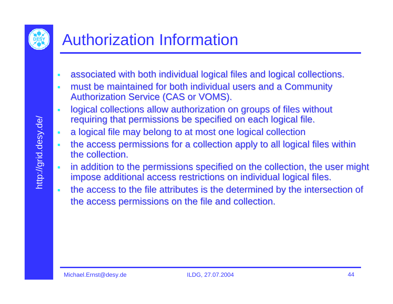

# Authorization Information

- $\overline{\phantom{a}}$ associated with both individual logical files and logical collections.
- $\blacksquare$ must be maintained for both individual users and a Community Authorization Service (CAS or VOMS).
- $\blacksquare$ logical collections allow authorization on groups of files without requiring that permissions be specified on each logical file.
- $\overline{\phantom{a}}$ a logical file may belong to at most one logical collection
- $\blacksquare$ the access permissions for a collection apply to all logical files within the collection.
- $\blacksquare$ in addition to the permissions specified on the collection, the user might impose additional access restrictions on individual logical files.
- $\blacksquare$ the access to the file attributes is the determined by the intersection of the access permissions on the file and collection.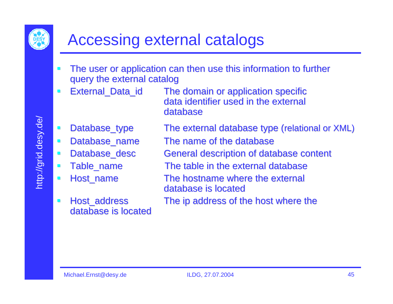

## Accessing external catalogs

- $\blacksquare$ The user or application can then use this information to further query the external catalog
- $\mathcal{L}$ 
	- External\_Data\_id The domain or application specific data identifier used in the external database
- $\mathcal{L}$
- $\mathcal{L}_{\mathcal{A}}$
- $\mathcal{L}_{\mathcal{A}}$
- $\blacksquare$
- $\mathcal{L}_{\mathcal{A}}$
- $\blacksquare$ database is located

Database\_type The external database type (relational or XML)

- Database\_name The name of the database
- Database\_desc General description of database content
- Table name The table in the external database
- Host\_name The hostname where the external database is located
- Host\_address The ip address of the host where the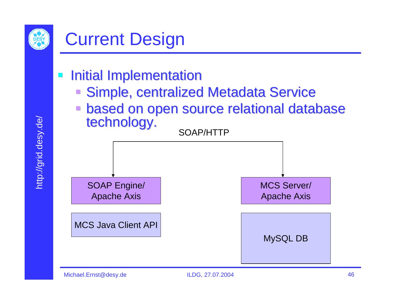

- **Initial Implementation** 
	- Simple, centralized Metadata Service
	- based on open source relational database<br>technology.

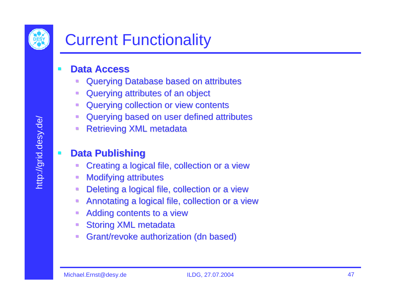

## Current Functionality

#### **COL <u><b>Alla Access**</u>

- $\mathcal{L}$ Querying Database based on attributes Querying Database based on attributes
- $\blacksquare$ Querying attributes of an object Querying attributes of an object
- $\mathcal{C}$ Querying collection or view contents Querying collection or view contents
- $\mathcal{C}$ Querying based on user defined attributes Querying based on user defined attributes
- $\overline{\phantom{a}}$ **Retrieving XML metadata**

#### **Data Publishing Data Publishing**

- Creating a logical file, collection or a view Creating a logical file, collection or a view
- $\mathcal{L}$ **Modifying attributes**
- $\mathcal{C}$ Deleting a logical file, collection or a view
- $\mathcal{C}$ Annotating a logical file, collection or a view Annotating a logical file, collection or a view
- $\mathcal{C}$ Adding contents to a view
- $\mathcal{L}$ **Storing XML metadata**
- $\mathcal{L}$ Grant/revoke authorization (dn based)

 $\blacksquare$